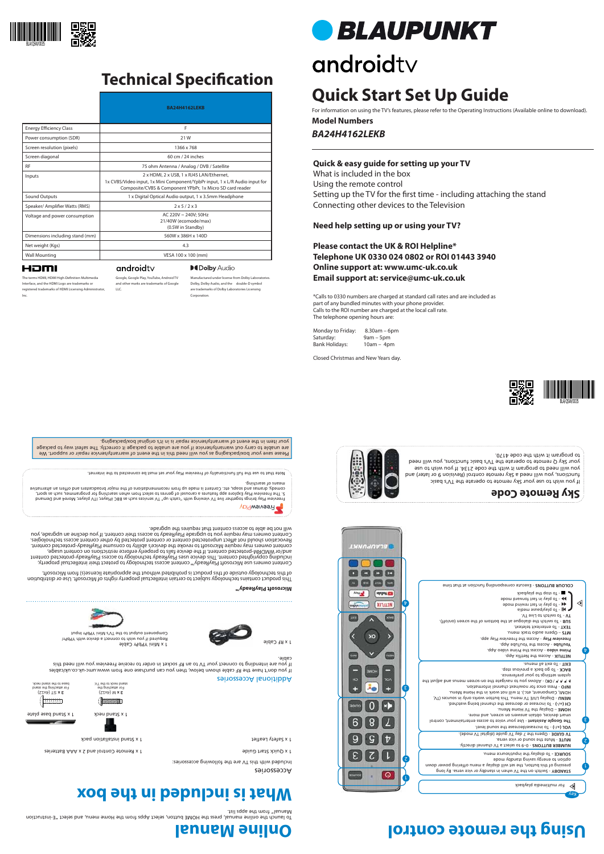Accessories

Included with this TV are the following accessories:

1 x Quick Start Guilde Control and 2 x Pennsylvan and 2 x Pennsylvan and 2 x Pennsylvan Start Guide Start Guide

et 1 x Safety Leaflet and installation parameter  $\alpha$  is speed to the 1 x Separate 1 x Separate 1 x Separate 1 x Separate 1 x Separate 1 x Separate 1 x Separate 1 x Separate 1 x Separate 1 x Separate 1 x Separate 1 x Separ

Required if you wish to connect a device with YPbPr/ Component output to the TV's Mini YPbPr Input





ST (4x12) **3 x**  For attaching the stand base to the stand neck.

M (4x12) **3 x**  For attaching the stand neck to the TV.



1 x RF Cable

### **Online Manual Using the remote control**



### **Technical Specification**















#### **Quick & easy guide for setting up your TV**

What is included in the box Using the remote control Setting up the TV for the first time - including attaching the stand Connecting other devices to the Television

**Need help setting up or using your TV?**

### **Please contact the UK & ROI Helpline\* Telephone UK 0330 024 0802 or ROI 01443 3940 Online support at: www.umc-uk.co.uk Email support at: service@umc-uk.co.uk**

eibem ezus vela of - **IK** - To play in fast rewind mode - To play in fast forward mode - To stop the playback

\*Calls to 0330 numbers are charged at standard call rates and are included as part of any bundled minutes with your phone provider. Calls to the ROI number are charged at the local call rate. The telephone opening hours are:



٤

 $\bm{\mathrm{b}}$ 

 $\triangleleft$ 

Monday to Friday: 8.30am – 6pm Saturday: 9am – 5pm Bank Holidays: 10am – 4pm

Closed Christmas and New Years day.

### **What is included in the box**

#### Additional Accessories

If you don't have the RF cable shown below, then you can purchase one from www.umc-uk.co.uk/cables If you are intending to connect your TV to an RF socket in order to receive Freeview you will need this cable.

2

L



 $\bm{\mathrm{b}}$ 



 - 0–9 to select a TV channel directly. **NUMBER BUTTONS** - Mute the sound or vice versa. **MUTE**  - Opens the 7 day TV guide (digital TV mode). **TV GUIDE** 

 $\mathcal{A}$  **A**  $\mathcal{A}$   $\mathcal{A}$   $\mathcal{A}$   $\mathcal{A}$   $\mathcal{A}$   $\mathcal{A}$   $\mathcal{A}$   $\mathcal{A}$   $\mathcal{A}$   $\mathcal{A}$   $\mathcal{A}$   $\mathcal{A}$   $\mathcal{A}$   $\mathcal{A}$   $\mathcal{A}$   $\mathcal{A}$   $\mathcal{A}$   $\mathcal{A}$   $\mathcal{A}$   $\mathcal{A}$   $\mathcal{A}$   $\mathcal{A}$   $\mathcal{A}$   $\$ system settings to your preference.

To launch the online manual, press the HOME button, select Apps from the Home menu, and select "E-instruction Manual" from the apps list.

BACK - To go back a previous step. - To exit all menus. **EXIT**

**NETFLIX - Access the Netflix App.** Prime video - Access the Prime video App.

 - Access the YouTube App. **YouTube** Freeview Play - Access the Freeview Play app.

- Execute corresponding function at that time **COLOUR BUTTONS**

Please save your box/packaging as you will need this in the event of warranty/service repair or support. We are unable to carry out warranty/service if you are unable to package it correctly. The safest way to package

your item in the event of warranty/service repair is in it's original box/packaging.

Freeview Play brings together live TV viewing with ''catch up'' TV services such as BBC iPlayer, ITV player, More4 and Demand 5. The Freeview Play Explore app features a carousel of genres to select from when searching for programmes, such as sport, comedy, dramas and soaps, etc. Content is made up from recommendations of the major broadcasters and offers an alternative

means of searching.

Note that to use the full functionality of Freeview Play your set must be connected to the internet.

The terms HDMI, HDMI High-Definition Multimedia Interface, and the HDMI Logo are trademarks or registered trademarks of HDMI Licensing Administrator, Inc.

> - Switch on the TV when in standby or vice versa. By long **STANDBY** pressing of this button, the set will display a menu offering power down

option to energy saving standby mode To display the input/source menu. **SOURCE -** 

 - To increase/decrease the sound level. **VOL (+/-)** The Google Assistant - Use your voice to access entertainment, control smart devices, obtain answers on screen, and more.

– Display the TV Home Menu. **HOME**

- To increase or decrease the channel being watched. **CH (+/-)**

- Display LIVE TV menu. This button works only in sources (TV, **MENU**

HDMI, Component, etc.). It will not work in the Home Menu.

- Press once for now/next channel information. **INFO** 

– Opens audio track menu. **MTS**  - To enter/exit teletext. **TEXT** 

- To switch the dialogue at the bottom of the screen (on/off). **SUB** 

- To switch to Live TV. **TV**

**Microsoft PlayReady™**

**PreeviewPlay** 

This product contains technology subject to certain intellectual property rights of Microsoft. Use or distribution of this technology outside of this product is prohibited without the appropriate license(s) from Microsoft. Content owners use Microsoft PlayReady™ content access technology to protect their intellectual property, including copyrighted content. This device uses PlayReady technology to access PlayReady-protected content and/or WMDRM-protected content. If the device fails to properly enforce restrictions on content usage, content owners may require Microsoft to revoke the device's ability to consume PlayReady-protected content. ect unprotected content or content protected by other content access technologies. Revocation should not aff Content owners may require you to upgrade PlayReady to access their content. If you decline an upgrade, you

will not be able to access content that requires the upgrade.

If you wish to use your Sky remote to operate the TV's basic functions, you will need a Sky remote control (Revision 9 or later) and you will need to program it with the code 2134. If you wish to use your Sky Q remote to operate the TV's basic functions, you will need

to program it with the code 4170.





**BLAUPUNKT** 

**NO** 

ADID

**Capy Hilling** 

888 **CON CON CON** 

schiloon **and** 

**XITHLEN** 

Þ



Manufactured under license from Dolby Laboratories. Dolby, Dolby Audio, and the double-D symbol are trademarks of Dolby Laboratories Licensing Google, Google Play, YouTube, Android TV and other marks are trademarks of Google

**DeDolby Audio** 

Corporation.

# **BLAUPUNKT**

# androidty

LLC.

androidty

#### HDMI

|                                 | <b>BA24H4162LEKB</b>                                                                                                                                                                  |  |  |
|---------------------------------|---------------------------------------------------------------------------------------------------------------------------------------------------------------------------------------|--|--|
| <b>Energy Efficiency Class</b>  | F                                                                                                                                                                                     |  |  |
| Power consumption (SDR)         | 21 W                                                                                                                                                                                  |  |  |
| Screen resolution (pixels)      | 1366 x 768                                                                                                                                                                            |  |  |
| Screen diagonal                 | 60 cm / 24 inches                                                                                                                                                                     |  |  |
| <b>RF</b>                       | 75 ohm Antenna / Analog / DVB / Satellite                                                                                                                                             |  |  |
| Inputs                          | 2 x HDMI, 2 x USB, 1 x RJ45 LAN/Ethernet,<br>1x CVBS/Video input, 1x Mini Component/YpbPr input, 1 x L/R Audio input for<br>Composite/CVBS & Component YPbPr, 1x Micro SD card reader |  |  |
| Sound Outputs                   | 1 x Digital Optical Audio output, 1 x 3.5mm Headphone                                                                                                                                 |  |  |
| Speaker/ Amplifier Watts (RMS)  | 2x5/2x3                                                                                                                                                                               |  |  |
| Voltage and power consumption   | AC 220V ~ 240V; 50Hz<br>21/40W (ecomode/max)<br>(0.5W in Standby)                                                                                                                     |  |  |
| Dimensions including stand (mm) | 560W x 386H x 140D                                                                                                                                                                    |  |  |
| Net weight (Kgs)                | 4.3                                                                                                                                                                                   |  |  |
| <b>Wall Mounting</b>            | VESA 100 x 100 (mm)                                                                                                                                                                   |  |  |

*BA24H4162LEKB* **Model Numbers**

## **Quick Start Set Up Guide**

For information on using the TV's features, please refer to the Operating Instructions (Available online to download).